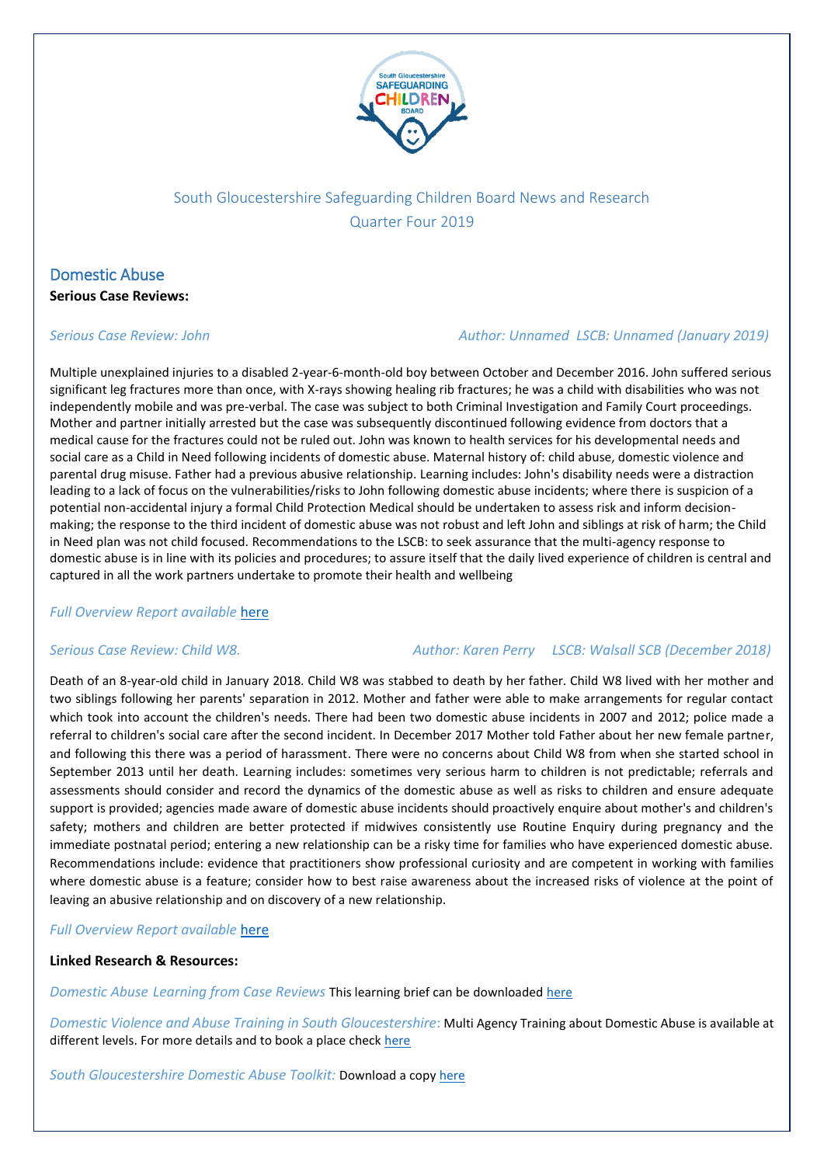

## South Gloucestershire Safeguarding Children Board News and Research Quarter Four 2019

# Domestic Abuse

**Serious Case Reviews:**

### *Serious Case Review: John Author[: Unnamed](https://library.nspcc.org.uk/HeritageScripts/Hapi.dll/search2?SearchTerm=BRIONY+LADBURY&Fields=A&Media=%23&Dispfmt=B&SearchPrecision=10&DataSetName=LIVEDATA) LSCB: [Unnamed](https://library.nspcc.org.uk/HeritageScripts/Hapi.dll/search2?SearchTerm=NORFOLK+SAFEGUARDING+CHILDREN+BOARD&Fields=P&Media=%23&Dispfmt=B&SearchPrecision=10&DataSetName=LIVEDATA) (January 2019)*

Multiple unexplained injuries to a disabled 2-year-6-month-old boy between October and December 2016. John suffered serious significant leg fractures more than once, with X-rays showing healing rib fractures; he was a child with disabilities who was not independently mobile and was pre-verbal. The case was subject to both Criminal Investigation and Family Court proceedings. Mother and partner initially arrested but the case was subsequently discontinued following evidence from doctors that a medical cause for the fractures could not be ruled out. John was known to health services for his developmental needs and social care as a Child in Need following incidents of domestic abuse. Maternal history of: child abuse, domestic violence and parental drug misuse. Father had a previous abusive relationship. Learning includes: John's disability needs were a distraction leading to a lack of focus on the vulnerabilities/risks to John following domestic abuse incidents; where there is suspicion of a potential non-accidental injury a formal Child Protection Medical should be undertaken to assess risk and inform decisionmaking; the response to the third incident of domestic abuse was not robust and left John and siblings at risk of harm; the Child in Need plan was not child focused. Recommendations to the LSCB: to seek assurance that the multi-agency response to domestic abuse is in line with its policies and procedures; to assure itself that the daily lived experience of children is central and captured in all the work partners undertake to promote their health and wellbeing

### *Full Overview Report available* [here](http://library.nspcc.org.uk/HeritageScripts/Hapi.dll/filetransfer/2019AnonymousJohnOverview.pdf?filename=AA58F75CEDE68892A73FB681FE246B8371684F102152F0AA780A14959D3BCE5767137B3B2A935011CBAEC3068664FF681AA6D2524E357BAB96C006752CCD756759AD77BD1E389823A55CFAAE74B2EE64F46C611AD1724BE1AC50776135EAAAAFFECACF7BE0247BFC24B132894BF736E37129CD47D3BF2FE25DEB924DAF672568CF0BF60DE0B23F6E2C2DEB0BA4EFC200FED7CA292C81&DataSetName=LIVEDATA)

### *Serious Case Review: Child W8. Author[: Karen](https://library.nspcc.org.uk/HeritageScripts/Hapi.dll/search2?SearchTerm=ARTHUR+WING&Fields=A&Media=%23&Dispfmt=B&SearchPrecision=10&DataSetName=LIVEDATA) Perry LSCB[: Walsall](https://library.nspcc.org.uk/HeritageScripts/Hapi.dll/search2?SearchTerm=SURREY+SAFEGUARDING+CHILDREN+BOARD&Fields=P&Media=%23&Dispfmt=B&SearchPrecision=10&DataSetName=LIVEDATA) SCB (December 2018)*

Death of an 8-year-old child in January 2018. Child W8 was stabbed to death by her father. Child W8 lived with her mother and two siblings following her parents' separation in 2012. Mother and father were able to make arrangements for regular contact which took into account the children's needs. There had been two domestic abuse incidents in 2007 and 2012; police made a referral to children's social care after the second incident. In December 2017 Mother told Father about her new female partner, and following this there was a period of harassment. There were no concerns about Child W8 from when she started school in September 2013 until her death. Learning includes: sometimes very serious harm to children is not predictable; referrals and assessments should consider and record the dynamics of the domestic abuse as well as risks to children and ensure adequate support is provided; agencies made aware of domestic abuse incidents should proactively enquire about mother's and children's safety; mothers and children are better protected if midwives consistently use Routine Enquiry during pregnancy and the immediate postnatal period; entering a new relationship can be a risky time for families who have experienced domestic abuse. Recommendations include: evidence that practitioners show professional curiosity and are competent in working with families where domestic abuse is a feature; consider how to best raise awareness about the increased risks of violence at the point of leaving an abusive relationship and on discovery of a new relationship.

### *Full Overview Report available* [here](http://library.nspcc.org.uk/HeritageScripts/Hapi.dll/filetransfer/2018WalsallChildW8Overview.pdf?filename=AA58F75CEDE68892A73FB681FE246B8371684F102152F0AA780A14959D3BCE5767137B3B2A935011CBAEC3068664FF681AA6D2524E357BAB96C006752CCD756759AD77BD1E389823A55CFAAE74B2EE64F46C611AD1724BE1AC50776135EBAAAFFECACF7BE13274FF39A9338A7DEC15E07D10BA7EC0A82BFD51F9CB13BB656AAA91EC6380A402E7633F92337F3A0BF1E3360B85963FF336&DataSetName=LIVEDATA)

### **Linked Research & Resources:**

*Domestic Abuse Learning from Case Reviews* This learning brief can be downloaded [here](https://learning.nspcc.org.uk/media/1335/learning-from-case-reviews_domestic-abuse.pdf)

*Domestic Violence and Abuse Training in South Gloucestershire*: Multi Agency Training about Domestic Abuse is available at different levels. For more details and to book a place check [here](https://learning.southglos.gov.uk/courses/bookings/default.asp?ds=1&keyword=domestic%20abuse)

*South Gloucestershire Domestic Abuse Toolkit:* Download a cop[y here](http://sites.southglos.gov.uk/safeguarding/wp-content/uploads/sites/221/2018/10/SGSCB-Domestic-Abuse-Toolkit-October-2018.pdf)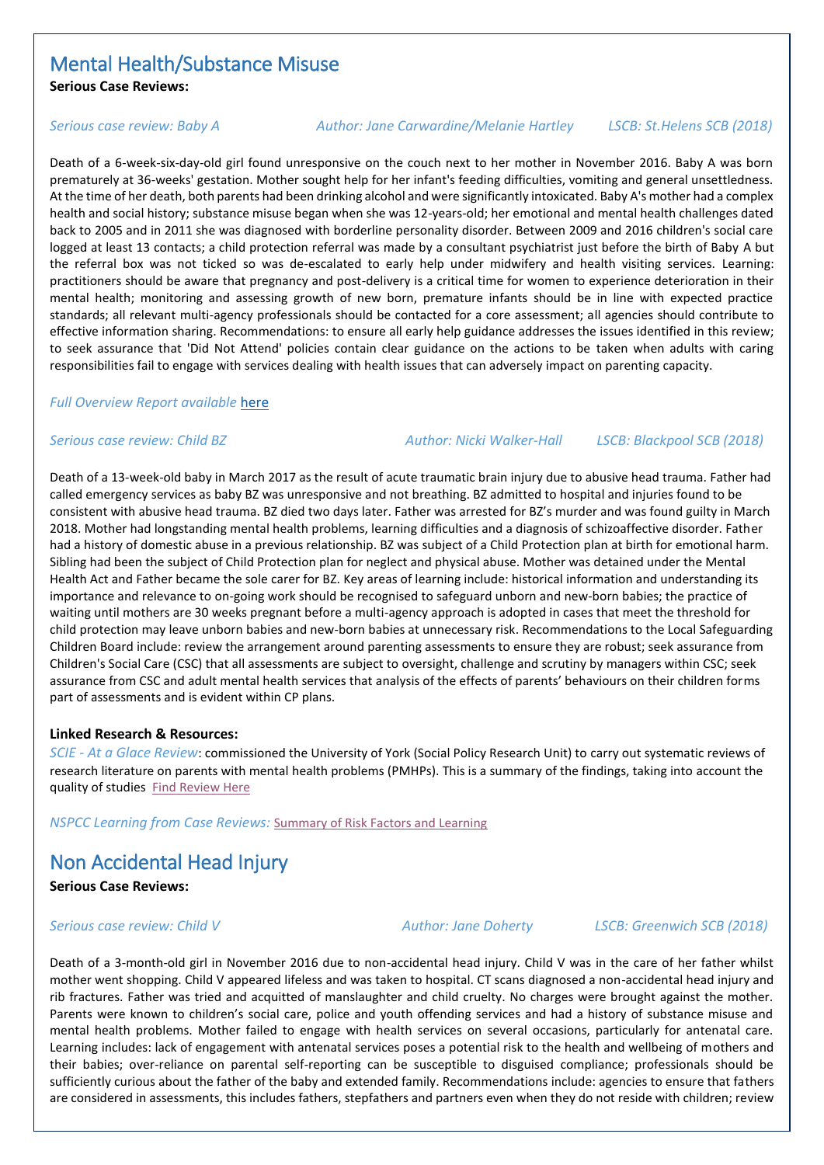## Mental Health/Substance Misuse

**Serious Case Reviews:**

#### *Serious case review: Baby A Author[: Jane](https://library.nspcc.org.uk/HeritageScripts/Hapi.dll/search2?SearchTerm=MALCOLM+WARD&Fields=A&Media=%23&Dispfmt=B&SearchPrecision=10&DataSetName=LIVEDATA) Carwardine/Melanie Hartley LSCB: St.Helens SCB (2018)*

Death of a 6-week-six-day-old girl found unresponsive on the couch next to her mother in November 2016. Baby A was born prematurely at 36-weeks' gestation. Mother sought help for her infant's feeding difficulties, vomiting and general unsettledness. At the time of her death, both parents had been drinking alcohol and were significantly intoxicated. Baby A's mother had a complex health and social history; substance misuse began when she was 12-years-old; her emotional and mental health challenges dated back to 2005 and in 2011 she was diagnosed with borderline personality disorder. Between 2009 and 2016 children's social care logged at least 13 contacts; a child protection referral was made by a consultant psychiatrist just before the birth of Baby A but the referral box was not ticked so was de-escalated to early help under midwifery and health visiting services. Learning: practitioners should be aware that pregnancy and post-delivery is a critical time for women to experience deterioration in their mental health; monitoring and assessing growth of new born, premature infants should be in line with expected practice standards; all relevant multi-agency professionals should be contacted for a core assessment; all agencies should contribute to effective information sharing. Recommendations: to ensure all early help guidance addresses the issues identified in this review; to seek assurance that 'Did Not Attend' policies contain clear guidance on the actions to be taken when adults with caring responsibilities fail to engage with services dealing with health issues that can adversely impact on parenting capacity.

#### *Full Overview Report available* [here](http://library.nspcc.org.uk/HeritageScripts/Hapi.dll/filetransfer/2018StHelensBabyAOverview.pdf?filename=AA58F75CEDE68892A73FB681FE246B8371684F102152F0AA780A14959D3BCE5767137B3B2A935011CBAEC3068664FF681AA6D2524E357BAB96C006752CCD756759AD77BD1E389823A55CFAAE74B2EE64F46C611AD1724BE1AC50776135EBAAAFFECACF7BE13661DB2FA43A884DC61DEE6006CD47D3BF2FE25DEB924DAF670CD21AFEF50DE0B28D08DC6E6A57EDB46039711D7F5D652A&DataSetName=LIVEDATA)

*Serious case review: Child BZ Author: Nicki Walker-Hall LSCB: Blackpool SCB (2018)*

Death of a 13-week-old baby in March 2017 as the result of acute traumatic brain injury due to abusive head trauma. Father had called emergency services as baby BZ was unresponsive and not breathing. BZ admitted to hospital and injuries found to be consistent with abusive head trauma. BZ died two days later. Father was arrested for BZ's murder and was found guilty in March 2018. Mother had longstanding mental health problems, learning difficulties and a diagnosis of schizoaffective disorder. Father had a history of domestic abuse in a previous relationship. BZ was subject of a Child Protection plan at birth for emotional harm. Sibling had been the subject of Child Protection plan for neglect and physical abuse. Mother was detained under the Mental Health Act and Father became the sole carer for BZ. Key areas of learning include: historical information and understanding its importance and relevance to on-going work should be recognised to safeguard unborn and new-born babies; the practice of waiting until mothers are 30 weeks pregnant before a multi-agency approach is adopted in cases that meet the threshold for child protection may leave unborn babies and new-born babies at unnecessary risk. Recommendations to the Local Safeguarding Children Board include: review the arrangement around parenting assessments to ensure they are robust; seek assurance from Children's Social Care (CSC) that all assessments are subject to oversight, challenge and scrutiny by managers within CSC; seek assurance from CSC and adult mental health services that analysis of the effects of parents' behaviours on their children forms part of assessments and is evident within CP plans.

### **Linked Research & Resources:**

*SCIE - At a Glace Review*: commissioned the University of York (Social Policy Research Unit) to carry out systematic reviews of research literature on parents with mental health problems (PMHPs). This is a summary of the findings, taking into account the quality of studies [Find Review Here](http://www.scie.org.uk/publications/guides/guide30/files/YorkReviewAAG.pdf?res=true)

*NSPCC Learning from Case Reviews:* [Summary of Risk Factors and Learning](https://www.nspcc.org.uk/preventing-abuse/child-protection-system/case-reviews/learning/parents-mental-health-problem/)

# Non Accidental Head Injury

**Serious Case Reviews:**

*Serious case review: Child V Author[: Jane](https://library.nspcc.org.uk/HeritageScripts/Hapi.dll/search2?SearchTerm=SIAN+GRIFFITHS&Fields=A&Media=%23&Dispfmt=B&SearchPrecision=10&DataSetName=LIVEDATA) Doherty LSCB[: Greenwich SCB](https://library.nspcc.org.uk/HeritageScripts/Hapi.dll/search2?SearchTerm=NORFOLK+SAFEGUARDING+CHILDREN+BOARD&Fields=P&Media=%23&Dispfmt=B&SearchPrecision=10&DataSetName=LIVEDATA) (2018)*

Death of a 3-month-old girl in November 2016 due to non-accidental head injury. Child V was in the care of her father whilst mother went shopping. Child V appeared lifeless and was taken to hospital. CT scans diagnosed a non-accidental head injury and rib fractures. Father was tried and acquitted of manslaughter and child cruelty. No charges were brought against the mother. Parents were known to children's social care, police and youth offending services and had a history of substance misuse and mental health problems. Mother failed to engage with health services on several occasions, particularly for antenatal care. Learning includes: lack of engagement with antenatal services poses a potential risk to the health and wellbeing of mothers and their babies; over-reliance on parental self-reporting can be susceptible to disguised compliance; professionals should be sufficiently curious about the father of the baby and extended family. Recommendations include: agencies to ensure that fathers are considered in assessments, this includes fathers, stepfathers and partners even when they do not reside with children; review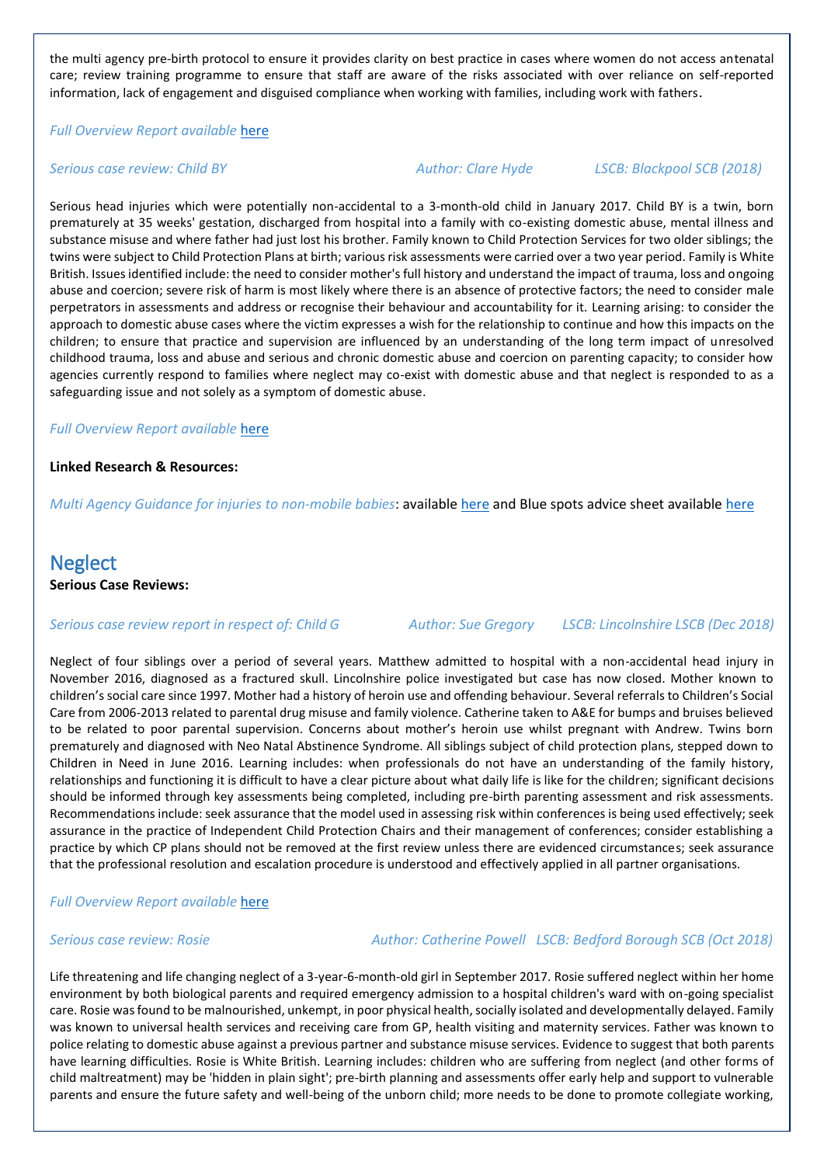the multi agency pre-birth protocol to ensure it provides clarity on best practice in cases where women do not access antenatal care; review training programme to ensure that staff are aware of the risks associated with over reliance on self-reported information, lack of engagement and disguised compliance when working with families, including work with fathers.

#### *Full Overview Report available* [here](http://library.nspcc.org.uk/HeritageScripts/Hapi.dll/filetransfer/2018GreenwichChildVOverview.pdf?filename=AA58F75CEDE68892A73FB681FE246B8371684F102152F0AA780A14959D3BCE5767137B3B2A935011CBAEC3068664FF681AA6D2524E357BAB96C006752CCD756759AD77BD1E389823A55CFAAE74B2EE64F46C611AD1724BE1AC50776135EBAAAFFECACF7BE12267F62FA6288F5DEC3FE4702BE667F9BB3CF94EF5D94AE571683529018F3A294657DF0ECDF83322A1E5EE1B3E1F971609590A&DataSetName=LIVEDATA)

#### *Serious case review: Child BY Author: Clare Hyde LSCB[: Blackpool SCB](https://library.nspcc.org.uk/HeritageScripts/Hapi.dll/search2?SearchTerm=NORFOLK+SAFEGUARDING+CHILDREN+BOARD&Fields=P&Media=%23&Dispfmt=B&SearchPrecision=10&DataSetName=LIVEDATA) (2018)*

Serious head injuries which were potentially non-accidental to a 3-month-old child in January 2017. Child BY is a twin, born prematurely at 35 weeks' gestation, discharged from hospital into a family with co-existing domestic abuse, mental illness and substance misuse and where father had just lost his brother. Family known to Child Protection Services for two older siblings; the twins were subject to Child Protection Plans at birth; various risk assessments were carried over a two year period. Family is White British. Issues identified include: the need to consider mother's full history and understand the impact of trauma, loss and ongoing abuse and coercion; severe risk of harm is most likely where there is an absence of protective factors; the need to consider male perpetrators in assessments and address or recognise their behaviour and accountability for it. Learning arising: to consider the approach to domestic abuse cases where the victim expresses a wish for the relationship to continue and how this impacts on the children; to ensure that practice and supervision are influenced by an understanding of the long term impact of unresolved childhood trauma, loss and abuse and serious and chronic domestic abuse and coercion on parenting capacity; to consider how agencies currently respond to families where neglect may co-exist with domestic abuse and that neglect is responded to as a safeguarding issue and not solely as a symptom of domestic abuse.

#### *Full Overview Report available* [here](http://library.nspcc.org.uk/HeritageScripts/Hapi.dll/filetransfer/2018BlackpoolChildBYOverview.pdf?filename=AA58F75CEDE68892A73FB681FE246B8371684F102152F0AA780A14959D3BCE5767137B3B2A935011CBAEC3068664FF681AA6D2524E357BAB96C006752CCD756759AD77BD1E389823A55CFAAE74B2EE64F46C611AD1724BE1AC50776135EBAAAFFECACF7BE12779F229A32F8951E83FE4702BE673EF822FEE4AEAD558BC2F7C37DA735831D7CB136F9800AC36606CB11FC56D0814EDB5553B80&DataSetName=LIVEDATA)

#### **Linked Research & Resources:**

*Multi Agency Guidance for injuries to non-mobile babies*: available [here](http://sites.southglos.gov.uk/safeguarding/wp-content/uploads/sites/221/2015/05/Non-Mobile-Baby-Injury-Policy-2018-FINAL.pdf) and Blue spots advice sheet availabl[e here](http://sites.southglos.gov.uk/safeguarding/wp-content/uploads/sites/221/2019/01/Blue-Spot-Marks-advice-sheet.pdf)

## **Neglect Serious Case Reviews:**

#### *Serious case review report in respect of: Child G Author[: Sue Gregory](https://library.nspcc.org.uk/HeritageScripts/Hapi.dll/search2?SearchTerm=KEVIN+BALL&Fields=A&Media=%23&Dispfmt=B&SearchPrecision=10&DataSetName=LIVEDATA) LSCB: [Lincolnshire LSCB](https://library.nspcc.org.uk/HeritageScripts/Hapi.dll/search2?SearchTerm=LUTON+LOCAL+SAFEGUARDING+CHILDREN+BOARD&Fields=P&Media=%23&Dispfmt=B&SearchPrecision=10&DataSetName=LIVEDATA) (Dec 2018)*

Neglect of four siblings over a period of several years. Matthew admitted to hospital with a non-accidental head injury in November 2016, diagnosed as a fractured skull. Lincolnshire police investigated but case has now closed. Mother known to children's social care since 1997. Mother had a history of heroin use and offending behaviour. Several referrals to Children's Social Care from 2006-2013 related to parental drug misuse and family violence. Catherine taken to A&E for bumps and bruises believed to be related to poor parental supervision. Concerns about mother's heroin use whilst pregnant with Andrew. Twins born prematurely and diagnosed with Neo Natal Abstinence Syndrome. All siblings subject of child protection plans, stepped down to Children in Need in June 2016. Learning includes: when professionals do not have an understanding of the family history, relationships and functioning it is difficult to have a clear picture about what daily life is like for the children; significant decisions should be informed through key assessments being completed, including pre-birth parenting assessment and risk assessments. Recommendations include: seek assurance that the model used in assessing risk within conferences is being used effectively; seek assurance in the practice of Independent Child Protection Chairs and their management of conferences; consider establishing a practice by which CP plans should not be removed at the first review unless there are evidenced circumstances; seek assurance that the professional resolution and escalation procedure is understood and effectively applied in all partner organisations.

### *Full Overview Report available* [here](https://www.lincolnshire.gov.uk/lscb/the-lscb/serious-case-review/124646.article)

### *Serious case review: Rosie Author: Catherine Powell LSCB: Bedford Borough SCB (Oct 2018)*

Life threatening and life changing neglect of a 3-year-6-month-old girl in September 2017. Rosie suffered neglect within her home environment by both biological parents and required emergency admission to a hospital children's ward with on-going specialist care. Rosie was found to be malnourished, unkempt, in poor physical health, socially isolated and developmentally delayed. Family was known to universal health services and receiving care from GP, health visiting and maternity services. Father was known to police relating to domestic abuse against a previous partner and substance misuse services. Evidence to suggest that both parents have learning difficulties. Rosie is White British. Learning includes: children who are suffering from neglect (and other forms of child maltreatment) may be 'hidden in plain sight'; pre-birth planning and assessments offer early help and support to vulnerable parents and ensure the future safety and well-being of the unborn child; more needs to be done to promote collegiate working,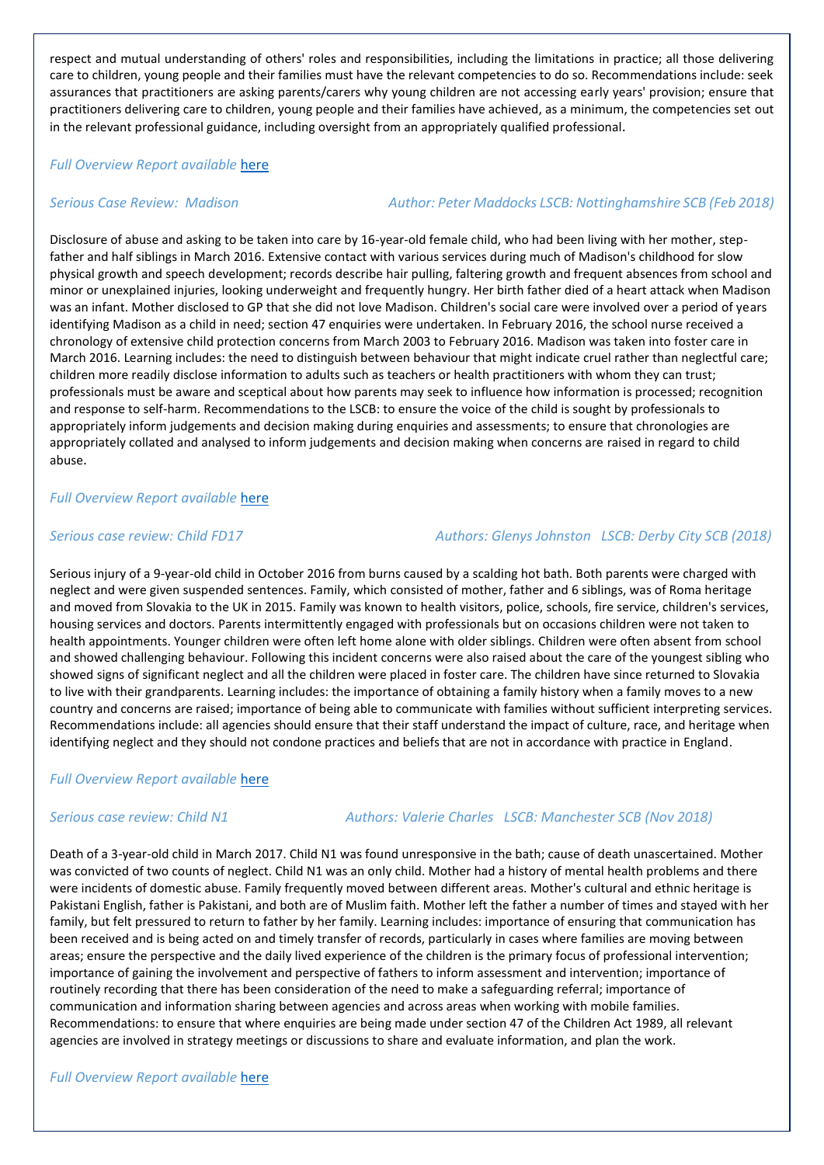respect and mutual understanding of others' roles and responsibilities, including the limitations in practice; all those delivering care to children, young people and their families must have the relevant competencies to do so. Recommendations include: seek assurances that practitioners are asking parents/carers why young children are not accessing early years' provision; ensure that practitioners delivering care to children, young people and their families have achieved, as a minimum, the competencies set out in the relevant professional guidance, including oversight from an appropriately qualified professional.

#### *Full Overview Report available* [here](http://library.nspcc.org.uk/HeritageScripts/Hapi.dll/filetransfer/2018BedfordRosieOverview.pdf?filename=AA58F75CEDE68892A73FB681FE246B8371684F102152F0AA780A14959D3BCE5767137B3B2A935011CBAEC3068664FF681AA6D2524E357BAB96C006752CCD756759AD77BD1E389823A55CFAAE74B2EE64F46C611AD1724BE1AC50776135EBAAAFFECACF7BE12770F72CA72D826CEB0FE57C08F454C4BB30EE4FB2CC59AD2D01D5EE6578495053752A92FF89D7583A4AF612FF402FAD&DataSetName=LIVEDATA)

#### *Serious Case Review: Madison Author[: Peter](https://library.nspcc.org.uk/HeritageScripts/Hapi.dll/search2?SearchTerm=HAYLEY+FRAME&Fields=A&Media=%23&Dispfmt=B&SearchPrecision=10&DataSetName=LIVEDATA) Maddocks LSCB[: Nottinghamshire SCB](https://library.nspcc.org.uk/HeritageScripts/Hapi.dll/search2?SearchTerm=NOTTINGHAMSHIRE+SAFEGUARDING+CHILDREN+BOARD&Fields=P&Media=%23&Dispfmt=B&SearchPrecision=10&DataSetName=LIVEDATA) (Feb 2018)*

Disclosure of abuse and asking to be taken into care by 16-year-old female child, who had been living with her mother, stepfather and half siblings in March 2016. Extensive contact with various services during much of Madison's childhood for slow physical growth and speech development; records describe hair pulling, faltering growth and frequent absences from school and minor or unexplained injuries, looking underweight and frequently hungry. Her birth father died of a heart attack when Madison was an infant. Mother disclosed to GP that she did not love Madison. Children's social care were involved over a period of years identifying Madison as a child in need; section 47 enquiries were undertaken. In February 2016, the school nurse received a chronology of extensive child protection concerns from March 2003 to February 2016. Madison was taken into foster care in March 2016. Learning includes: the need to distinguish between behaviour that might indicate cruel rather than neglectful care; children more readily disclose information to adults such as teachers or health practitioners with whom they can trust; professionals must be aware and sceptical about how parents may seek to influence how information is processed; recognition and response to self-harm. Recommendations to the LSCB: to ensure the voice of the child is sought by professionals to appropriately inform judgements and decision making during enquiries and assessments; to ensure that chronologies are appropriately collated and analysed to inform judgements and decision making when concerns are raised in regard to child abuse.

#### *Full Overview Report available* [here](http://library.nspcc.org.uk/HeritageScripts/Hapi.dll/filetransfer/2018NottinghamshireMadisonOverview.pdf?filename=AA58F75CEDE68892A73FB681FE246B8371684F102152F0AA780A14959D3BCE5767137B3B2A935011CBAEC3068664FF681AA6D2524E357BAB96C006752CCD756759AD77BD1E389823A55CFAAE74B2EE64F46C611AD1724BE1AC50776135EBAAAFFECACF7BE12B7AE73EA1318156E511FF712EF054FBAC3DE24BF3D272BD647E25D539BB976096C150B19FEF70D3B6DE7CC8D8F8539F504F775C26888AA19F5F&DataSetName=LIVEDATA)

### *Serious case review: Child FD17 Authors: Glenys Johnston LSCB: Derby City SCB (2018)*

Serious injury of a 9-year-old child in October 2016 from burns caused by a scalding hot bath. Both parents were charged with neglect and were given suspended sentences. Family, which consisted of mother, father and 6 siblings, was of Roma heritage and moved from Slovakia to the UK in 2015. Family was known to health visitors, police, schools, fire service, children's services, housing services and doctors. Parents intermittently engaged with professionals but on occasions children were not taken to health appointments. Younger children were often left home alone with older siblings. Children were often absent from school and showed challenging behaviour. Following this incident concerns were also raised about the care of the youngest sibling who showed signs of significant neglect and all the children were placed in foster care. The children have since returned to Slovakia to live with their grandparents. Learning includes: the importance of obtaining a family history when a family moves to a new country and concerns are raised; importance of being able to communicate with families without sufficient interpreting services. Recommendations include: all agencies should ensure that their staff understand the impact of culture, race, and heritage when identifying neglect and they should not condone practices and beliefs that are not in accordance with practice in England.

### *Full Overview Report available* [here](http://library.nspcc.org.uk/HeritageScripts/Hapi.dll/filetransfer/2018DerbyFD17Overview.pdf?filename=AA58F75CEDE68892A73FB681FE246B8371684F102152F0AA780A14959D3BCE5767137B3B2A935011CBAEC3068664FF681AA6D2524E357BAB96C006752CCD756759AD77BD1E389823A55CFAAE74B2EE64F46C611AD1724BE1AC50776135EBAAAFFECACF7BE12170E128B119A20FB333FA7C35F458D3BA77FB5CFA2F42ACD135E74C1C280FD600F7783020D2A16C8DF0B6B528&DataSetName=LIVEDATA)

*Serious case review: Child N1 Authors: Valerie Charles LSCB: [Manchester](https://library.nspcc.org.uk/HeritageScripts/Hapi.dll/search2?SearchTerm=OXFORDSHIRE+SAFEGUARDING+CHILDREN+BOARD&Fields=P&Media=%23&Dispfmt=B&SearchPrecision=10&DataSetName=LIVEDATA) SCB (Nov 2018)*

Death of a 3-year-old child in March 2017. Child N1 was found unresponsive in the bath; cause of death unascertained. Mother was convicted of two counts of neglect. Child N1 was an only child. Mother had a history of mental health problems and there were incidents of domestic abuse. Family frequently moved between different areas. Mother's cultural and ethnic heritage is Pakistani English, father is Pakistani, and both are of Muslim faith. Mother left the father a number of times and stayed with her family, but felt pressured to return to father by her family. Learning includes: importance of ensuring that communication has been received and is being acted on and timely transfer of records, particularly in cases where families are moving between areas; ensure the perspective and the daily lived experience of the children is the primary focus of professional intervention; importance of gaining the involvement and perspective of fathers to inform assessment and intervention; importance of routinely recording that there has been consideration of the need to make a safeguarding referral; importance of communication and information sharing between agencies and across areas when working with mobile families. Recommendations: to ensure that where enquiries are being made under section 47 of the Children Act 1989, all relevant agencies are involved in strategy meetings or discussions to share and evaluate information, and plan the work.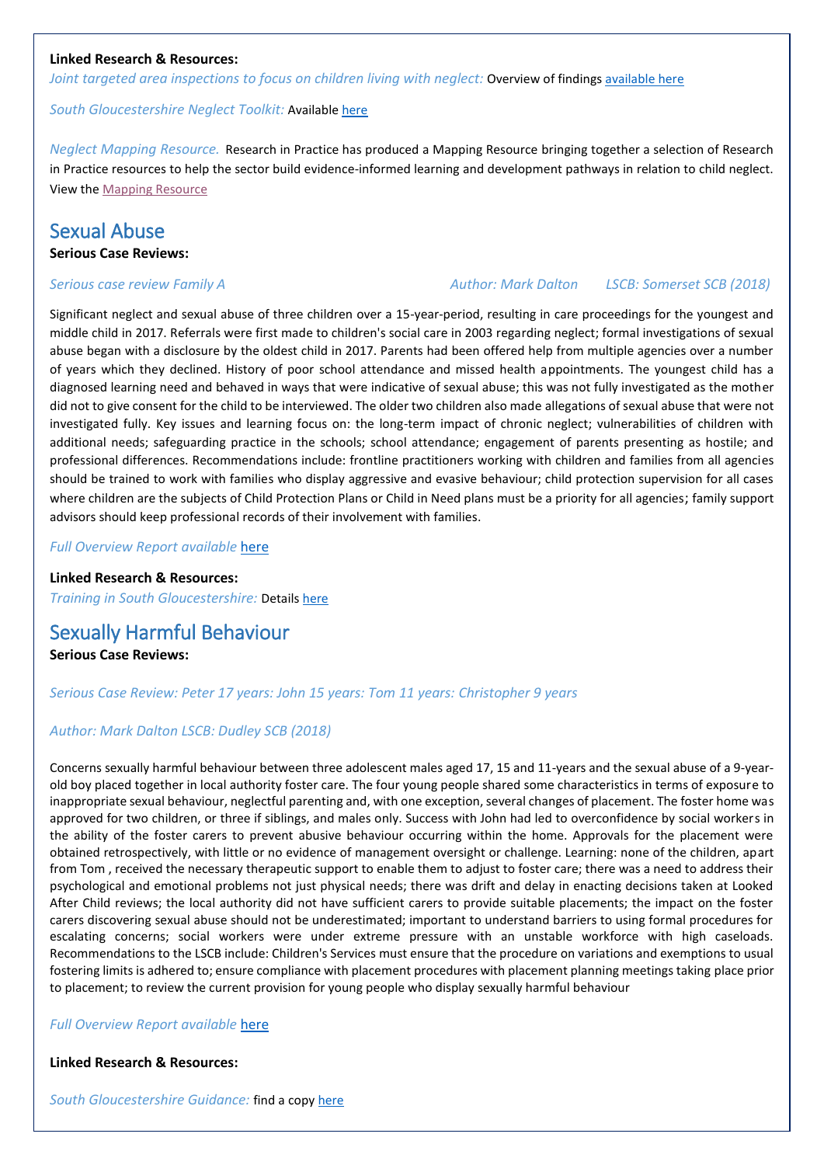### **Linked Research & Resources:**

*Joint targeted area inspections to focus on children living with neglect: Overview of findings [available here](https://assets.publishing.service.gov.uk/government/uploads/system/uploads/attachment_data/file/722740/Older_children_neglect_FINAL_060718.pdf)* 

*South Gloucestershire Neglect Toolkit:* Available [here](http://sites.southglos.gov.uk/safeguarding/wp-content/uploads/sites/221/2015/05/Neglect-Toolkit-2018.pdf)

*Neglect Mapping Resource.* Research in Practice has produced a Mapping Resource bringing together a selection of Research in Practice resources to help the sector build evidence-informed learning and development pathways in relation to child neglect. View the [Mapping Resource](https://www.rip.org.uk/resources/publications/delivery-programme/neglect-mapping-resource-open-access/?utm_source=Non-Partner+e-bulletin&utm_campaign=b3632921c4-Non_Partner_ebulletin_April_2017&utm_medium=email&utm_term=0_4146f9bdbb-b3632921c4-38064801)

## Sexual Abuse

**Serious Case Reviews:**

Significant neglect and sexual abuse of three children over a 15-year-period, resulting in care proceedings for the youngest and middle child in 2017. Referrals were first made to children's social care in 2003 regarding neglect; formal investigations of sexual abuse began with a disclosure by the oldest child in 2017. Parents had been offered help from multiple agencies over a number of years which they declined. History of poor school attendance and missed health appointments. The youngest child has a diagnosed learning need and behaved in ways that were indicative of sexual abuse; this was not fully investigated as the mother did not to give consent for the child to be interviewed. The older two children also made allegations of sexual abuse that were not investigated fully. Key issues and learning focus on: the long-term impact of chronic neglect; vulnerabilities of children with additional needs; safeguarding practice in the schools; school attendance; engagement of parents presenting as hostile; and professional differences. Recommendations include: frontline practitioners working with children and families from all agencies should be trained to work with families who display aggressive and evasive behaviour; child protection supervision for all cases where children are the subjects of Child Protection Plans or Child in Need plans must be a priority for all agencies; family support advisors should keep professional records of their involvement with families.

#### *Full Overview Report available* [here](http://library.nspcc.org.uk/HeritageScripts/Hapi.dll/filetransfer/2018SomersetFamilyAOverview.pdf?filename=AA58F75CEDE68892A73FB681FE246B8371684F102152F0AA780A14959D3BCE5767137B3B2A935011CBAEC3068664FF681AA6D2524E357BAB96C006752CCD756759AD77BD1E389823A55CFAAE74B2EE64F46C611AD1724BE1AC50776135EBAAAFFECACF7BE1367AFE2FBA2C834AC21DE1702BFB70F9BB3CF94EF5D94AE5716835C3AED821294657DF06C133E01D21396FCFF63BE2928E6FC9&DataSetName=LIVEDATA)

**Linked Research & Resources:** *Training in South Gloucestershire:* Detail[s here](https://learning.southglos.gov.uk/courses/bookings/default.asp?ds=1&keyword=sexual)

## Sexually Harmful Behaviour

**Serious Case Reviews:**

*Serious Case Review: Peter 17 years: John 15 years: Tom 11 years: Christopher 9 years*

#### *Author: [Mark](https://library.nspcc.org.uk/HeritageScripts/Hapi.dll/search2?SearchTerm=KEVIN+HARRINGTON&Fields=A&Media=%23&Dispfmt=B&SearchPrecision=10&DataSetName=LIVEDATA) Dalton LSCB[: Dudley SCB](https://library.nspcc.org.uk/HeritageScripts/Hapi.dll/search2?SearchTerm=OXFORDSHIRE+SAFEGUARDING+CHILDREN+BOARD&Fields=P&Media=%23&Dispfmt=B&SearchPrecision=10&DataSetName=LIVEDATA) (2018)*

Concerns sexually harmful behaviour between three adolescent males aged 17, 15 and 11-years and the sexual abuse of a 9-yearold boy placed together in local authority foster care. The four young people shared some characteristics in terms of exposure to inappropriate sexual behaviour, neglectful parenting and, with one exception, several changes of placement. The foster home was approved for two children, or three if siblings, and males only. Success with John had led to overconfidence by social workers in the ability of the foster carers to prevent abusive behaviour occurring within the home. Approvals for the placement were obtained retrospectively, with little or no evidence of management oversight or challenge. Learning: none of the children, apart from Tom , received the necessary therapeutic support to enable them to adjust to foster care; there was a need to address their psychological and emotional problems not just physical needs; there was drift and delay in enacting decisions taken at Looked After Child reviews; the local authority did not have sufficient carers to provide suitable placements; the impact on the foster carers discovering sexual abuse should not be underestimated; important to understand barriers to using formal procedures for escalating concerns; social workers were under extreme pressure with an unstable workforce with high caseloads. Recommendations to the LSCB include: Children's Services must ensure that the procedure on variations and exemptions to usual fostering limits is adhered to; ensure compliance with placement procedures with placement planning meetings taking place prior to placement; to review the current provision for young people who display sexually harmful behaviour

#### *Full Overview Report available* [here](http://library.nspcc.org.uk/HeritageScripts/Hapi.dll/filetransfer/2018DudleyChildPChildJChildTAndChildCOverview.pdf?filename=AA58F75CEDE68892A73FB681FE246B8371684F102152F0AA780A14959D3BCE5767137B3B2A935011CBAEC3068664FF681AA6D2524E357BAB96C006752CCD756759AD77BD1E389823A55CFAAE74B2EE64F46C611AD1724BE1AC50776135EBAAAFFECACF7BE12160F726AD26A556ED10E84904EA58DAA913C850F5D0599F406237FF34A5D574B1E8E9BDBC14200231B0BF94452FF9B8513E284AC90791827E12DEF75F463B6E94F9BA579B&DataSetName=LIVEDATA)

**Linked Research & Resources:**

*South Gloucestershire Guidance:* find a cop[y here](http://sites.southglos.gov.uk/safeguarding/wp-content/uploads/sites/221/2017/06/HarmfulSexualBehaviourSGJune17.pdf)

#### *Serious case review Family A Author: [Mark](https://library.nspcc.org.uk/HeritageScripts/Hapi.dll/search2?SearchTerm=ALAN+BEDFORD&Fields=A&Media=%23&Dispfmt=B&SearchPrecision=10&DataSetName=LIVEDATA) Dalton LSCB: Somerset SCB (2018)*